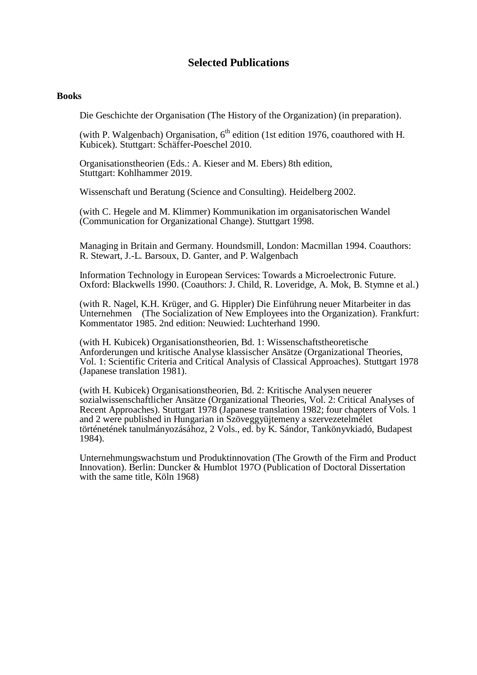# **Selected Publications**

## **Books**

Die Geschichte der Organisation (The History of the Organization) (in preparation).

(with P. Walgenbach) Organisation,  $6<sup>th</sup>$  edition (1st edition 1976, coauthored with H. Kubicek). Stuttgart: Schäffer-Poeschel 2010.

Organisationstheorien (Eds.: A. Kieser and M. Ebers) 8th edition, Stuttgart: Kohlhammer 2019.

Wissenschaft und Beratung (Science and Consulting). Heidelberg 2002.

(with C. Hegele and M. Klimmer) Kommunikation im organisatorischen Wandel (Communication for Organizational Change). Stuttgart 1998.

Managing in Britain and Germany. Houndsmill, London: Macmillan 1994. Coauthors: R. Stewart, J.-L. Barsoux, D. Ganter, and P. Walgenbach

Information Technology in European Services: Towards a Microelectronic Future. Oxford: Blackwells 1990. (Coauthors: J. Child, R. Loveridge, A. Mok, B. Stymne et al.)

(with R. Nagel, K.H. Krüger, and G. Hippler) Die Einführung neuer Mitarbeiter in das Unternehmen (The Socialization of New Employees into the Organization). Frankfurt: Kommentator 1985. 2nd edition: Neuwied: Luchterhand 1990.

(with H. Kubicek) Organisationstheorien, Bd. 1: Wissenschaftstheoretische Anforderungen und kritische Analyse klassischer Ansätze (Organizational Theories, Vol. 1: Scientific Criteria and Critical Analysis of Classical Approaches). Stuttgart 1978 (Japanese translation 1981).

(with H. Kubicek) Organisationstheorien, Bd. 2: Kritische Analysen neuerer sozialwissenschaftlicher Ansätze (Organizational Theories, Vol. 2: Critical Analyses of Recent Approaches). Stuttgart 1978 (Japanese translation 1982; four chapters of Vols. 1 and 2 were published in Hungarian in Szöveggyüjtemeny a szervezetelmélet történetének tanulmányozásához, 2 Vols., ed. by K. Sándor, Tankönyvkiadó, Budapest 1984).

Unternehmungswachstum und Produktinnovation (The Growth of the Firm and Product Innovation). Berlin: Duncker & Humblot 197O (Publication of Doctoral Dissertation with the same title, Köln 1968)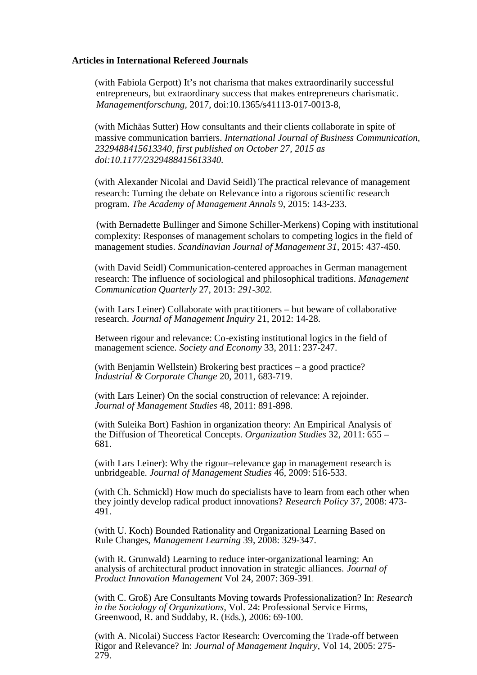## **Articles in International Refereed Journals**

(with Fabiola Gerpott) It's not charisma that makes extraordinarily successful entrepreneurs, but extraordinary success that makes entrepreneurs charismatic. *Managementforschung*, 2017, doi:10.1365/s41113-017-0013-8,

(with Michäas Sutter) How consultants and their clients collaborate in spite of massive communication barriers. *International Journal of Business Communication, 2329488415613340, first published on October 27, 2015 as doi:10.1177/2329488415613340.* 

(with Alexander Nicolai and David Seidl) The practical relevance of management research: Turning the debate on Relevance into a rigorous scientific research program. *The Academy of Management Annals* 9, 2015: 143-233.

(with Bernadette Bullinger and Simone Schiller-Merkens) Coping with institutional complexity: Responses of management scholars to competing logics in the field of management studies. *Scandinavian Journal of Management 31*, 2015: 437-450.

(with David Seidl) Communication-centered approaches in German management research: The influence of sociological and philosophical traditions. *Management Communication Quarterly* 27, 2013: *291-302.*

(with Lars Leiner) Collaborate with practitioners – but beware of collaborative research. *Journal of Management Inquiry* 21, 2012: 14-28.

Between rigour and relevance: Co-existing institutional logics in the field of management science. *Society and Economy* 33, 2011: 237-247.

(with Benjamin Wellstein) Brokering best practices – a good practice? *Industrial & Corporate Change* 20, 2011, 683-719.

(with Lars Leiner) On the social construction of relevance: A rejoinder. *Journal of Management Studies* 48, 2011: 891-898.

(with Suleika Bort) Fashion in organization theory: An Empirical Analysis of the Diffusion of Theoretical Concepts. *Organization Studies* 32, 2011: 655 – 681.

(with Lars Leiner): Why the rigour–relevance gap in management research is unbridgeable. *Journal of Management Studies* 46, 2009: 516-533.

(with Ch. Schmickl) How much do specialists have to learn from each other when they jointly develop radical product innovations? *Research Policy* 37, 2008: 473- 491.

(with U. Koch) Bounded Rationality and Organizational Learning Based on Rule Changes, *Management Learning* 39, 2008: 329-347.

(with R. Grunwald) Learning to reduce inter-organizational learning: An analysis of architectural product innovation in strategic alliances. *Journal of Product Innovation Management* Vol 24, 2007: 369-391.

(with C. Groß) Are Consultants Moving towards Professionalization? In: *Research in the Sociology of Organizations*, Vol. 24: Professional Service Firms, Greenwood, R. and Suddaby, R. (Eds.), 2006: 69-100.

(with A. Nicolai) Success Factor Research: Overcoming the Trade-off between Rigor and Relevance? In: *Journal of Management Inquiry*, Vol 14, 2005: 275- 279.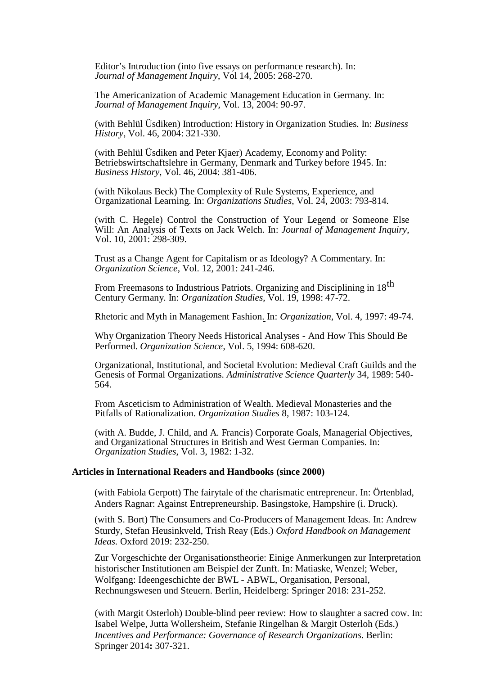Editor's Introduction (into five essays on performance research). In: *Journal of Management Inquiry*, Vol 14, 2005: 268-270.

The Americanization of Academic Management Education in Germany. In: *Journal of Management Inquiry*, Vol. 13, 2004: 90-97.

(with Behlül Üsdiken) Introduction: History in Organization Studies. In: *Business History*, Vol. 46, 2004: 321-330.

(with Behlül Üsdiken and Peter Kjaer) Academy, Economy and Polity: Betriebswirtschaftslehre in Germany, Denmark and Turkey before 1945. In: *Business History*, Vol. 46, 2004: 381-406.

(with Nikolaus Beck) The Complexity of Rule Systems, Experience, and Organizational Learning. In: *Organizations Studies*, Vol. 24, 2003: 793-814.

(with C. Hegele) Control the Construction of Your Legend or Someone Else Will: An Analysis of Texts on Jack Welch. In: *Journal of Management Inquiry*, Vol. 10, 2001: 298-309.

Trust as a Change Agent for Capitalism or as Ideology? A Commentary. In: *Organization Science*, Vol. 12, 2001: 241-246.

From Freemasons to Industrious Patriots. Organizing and Disciplining in 18<sup>th</sup> Century Germany. In: *Organization Studies*, Vol. 19, 1998: 47-72.

Rhetoric and Myth in Management Fashion. In: *Organization*, Vol. 4, 1997: 49-74.

Why Organization Theory Needs Historical Analyses - And How This Should Be Performed. *Organization Science*, Vol. 5, 1994: 608-620.

Organizational, Institutional, and Societal Evolution: Medieval Craft Guilds and the Genesis of Formal Organizations. *Administrative Science Quarterly* 34, 1989: 540- 564.

From Asceticism to Administration of Wealth. Medieval Monasteries and the Pitfalls of Rationalization. *Organization Studies* 8, 1987: 103-124.

(with A. Budde, J. Child, and A. Francis) Corporate Goals, Managerial Objectives, and Organizational Structures in British and West German Companies. In: *Organization Studies*, Vol. 3, 1982: 1-32.

### **Articles in International Readers and Handbooks (since 2000)**

(with Fabiola Gerpott) The fairytale of the charismatic entrepreneur. In: Örtenblad, Anders Ragnar: Against Entrepreneurship. Basingstoke, Hampshire (i. Druck).

(with S. Bort) The Consumers and Co-Producers of Management Ideas. In: Andrew Sturdy, Stefan Heusinkveld, Trish Reay (Eds.) *Oxford Handbook on Management Ideas.* Oxford 2019: 232-250.

Zur Vorgeschichte der Organisationstheorie: Einige Anmerkungen zur Interpretation historischer Institutionen am Beispiel der Zunft. In: Matiaske, Wenzel; Weber, Wolfgang: Ideengeschichte der BWL - ABWL, Organisation, Personal, Rechnungswesen und Steuern. Berlin, Heidelberg: Springer 2018: 231-252.

(with Margit Osterloh) Double-blind peer review: How to slaughter a sacred cow. In: Isabel Welpe, Jutta Wollersheim, Stefanie Ringelhan & Margit Osterloh (Eds.) *Incentives and Performance: Governance of Research Organizations*. Berlin: Springer 2014**:** 307-321.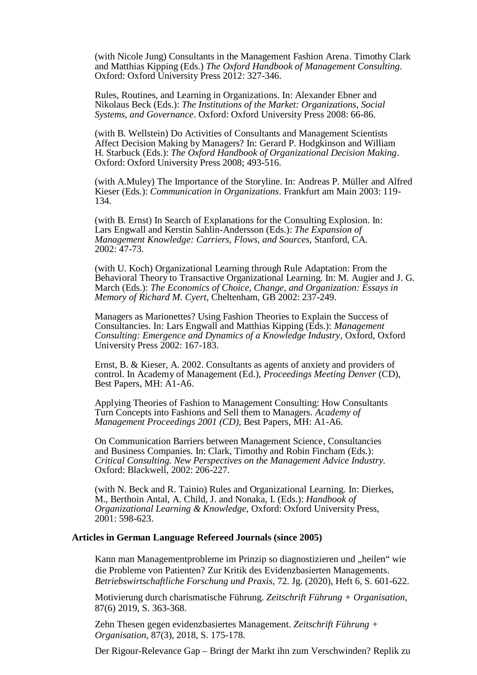(with Nicole Jung) Consultants in the Management Fashion Arena. Timothy Clark and Matthias Kipping (Eds.) *The Oxford Handbook of Management Consulting*. Oxford: Oxford University Press 2012: 327-346.

Rules, Routines, and Learning in Organizations. In: Alexander Ebner and Nikolaus Beck (Eds.): *The Institutions of the Market: Organizations, Social Systems, and Governance*. Oxford: Oxford University Press 2008: 66-86.

(with B. Wellstein) Do Activities of Consultants and Management Scientists Affect Decision Making by Managers? In: Gerard P. Hodgkinson and William H. Starbuck (Eds.): *The Oxford Handbook of Organizational Decision Making*. Oxford: Oxford University Press 2008; 493-516.

(with A.Muley) The Importance of the Storyline. In: Andreas P. Müller and Alfred Kieser (Eds.): *Communication in Organizations*. Frankfurt am Main 2003: 119- 134.

(with B. Ernst) In Search of Explanations for the Consulting Explosion. In: Lars Engwall and Kerstin Sahlin-Andersson (Eds.): *The Expansion of Management Knowledge: Carriers, Flows, and Sources*, Stanford, CA. 2002: 47-73.

(with U. Koch) Organizational Learning through Rule Adaptation: From the Behavioral Theory to Transactive Organizational Learning. In: M. Augier and J. G. March (Eds.): *The Economics of Choice, Change, and Organization: Essays in Memory of Richard M. Cyert*, Cheltenham, GB 2002: 237-249.

Managers as Marionettes? Using Fashion Theories to Explain the Success of Consultancies. In: Lars Engwall and Matthias Kipping (Eds.): *Management Consulting: Emergence and Dynamics of a Knowledge Industry*, Oxford, Oxford University Press 2002: 167-183.

Ernst, B. & Kieser, A. 2002. Consultants as agents of anxiety and providers of control. In Academy of Management (Ed.), *Proceedings Meeting Denver* (CD), Best Papers, MH: A1-A6.

Applying Theories of Fashion to Management Consulting: How Consultants Turn Concepts into Fashions and Sell them to Managers*. Academy of Management Proceedings 2001 (CD),* Best Papers, MH: A1-A6.

On Communication Barriers between Management Science, Consultancies and Business Companies. In: Clark, Timothy and Robin Fincham (Eds.): *Critical Consulting. New Perspectives on the Management Advice Industry.*  Oxford: Blackwell, 2002: 206-227.

(with N. Beck and R. Tainio) Rules and Organizational Learning. In: Dierkes, M., Berthoin Antal, A. Child, J. and Nonaka, I. (Eds.): *Handbook of Organizational Learning & Knowledge*, Oxford: Oxford University Press, 2001: 598-623.

#### **Articles in German Language Refereed Journals (since 2005)**

Kann man Managementprobleme im Prinzip so diagnostizieren und "heilen" wie die Probleme von Patienten? Zur Kritik des Evidenzbasierten Managements. *Betriebswirtschaftliche Forschung und Praxis*, 72. Jg. (2020), Heft 6, S. 601-622.

Motivierung durch charismatische Führung. *Zeitschrift Führung + Organisation,* 87(6) 2019, S. 363-368.

Zehn Thesen gegen evidenzbasiertes Management. *Zeitschrift Führung + Organisation,* 87(3), 2018, S. 175-178.

Der Rigour-Relevance Gap – Bringt der Markt ihn zum Verschwinden? Replik zu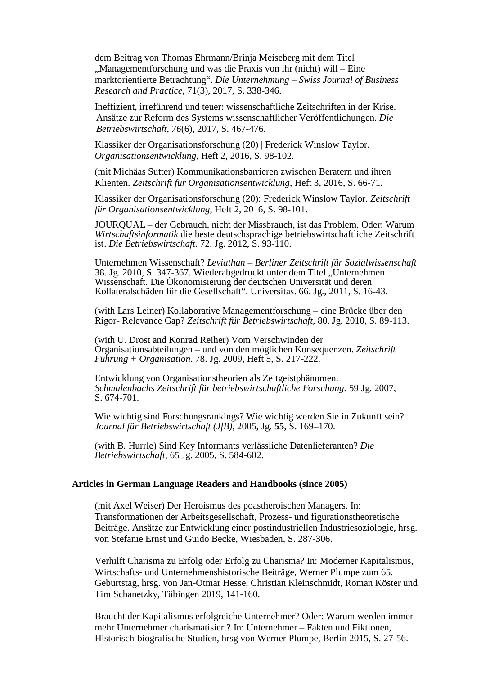dem Beitrag von Thomas Ehrmann/Brinja Meiseberg mit dem Titel "Managementforschung und was die Praxis von ihr (nicht) will – Eine marktorientierte Betrachtung". *Die Unternehmung – Swiss Journal of Business Research and Practice*, 71(3), 2017, S. 338-346.

Ineffizient, irreführend und teuer: wissenschaftliche Zeitschriften in der Krise. Ansätze zur Reform des Systems wissenschaftlicher Veröffentlichungen. *Die Betriebswirtschaft, 76*(6), 2017, S. 467-476.

Klassiker der Organisationsforschung (20) | Frederick Winslow Taylor. *Organisationsentwicklung*, Heft 2, 2016, S. 98-102.

(mit Michäas Sutter) Kommunikationsbarrieren zwischen Beratern und ihren Klienten. *Zeitschrift für Organisationsentwicklung*, Heft 3, 2016, S. 66-71.

Klassiker der Organisationsforschung (20): Frederick Winslow Taylor. *Zeitschrift für Organisationsentwicklung*, Heft 2, 2016, S. 98-101.

JOURQUAL – der Gebrauch, nicht der Missbrauch, ist das Problem. Oder: Warum *Wirtschaftsinformatik* die beste deutschsprachige betriebswirtschaftliche Zeitschrift ist. *Die Betriebswirtschaft*. 72. Jg. 2012, S. 93-110.

Unternehmen Wissenschaft? *Leviathan – Berliner Zeitschrift für Sozialwissenschaft* 38. Jg. 2010, S. 347-367. Wiederabgedruckt unter dem Titel "Unternehmen Wissenschaft. Die Ökonomisierung der deutschen Universität und deren Kollateralschäden für die Gesellschaft". Universitas. 66. Jg., 2011, S. 16-43.

(with Lars Leiner) Kollaborative Managementforschung – eine Brücke über den Rigor- Relevance Gap? *Zeitschrift für Betriebswirtschaft*, 80. Jg. 2010, S. 89-113.

(with U. Drost and Konrad Reiher) Vom Verschwinden der Organisationsabteilungen – und von den möglichen Konsequenzen. *Zeitschrift Führung + Organisation*. 78. Jg. 2009, Heft 5, S. 217-222.

Entwicklung von Organisationstheorien als Zeitgeistphänomen. *Schmalenbachs Zeitschrift für betriebswirtschaftliche Forschung*. 59 Jg. 2007, S. 674-701.

Wie wichtig sind Forschungsrankings? Wie wichtig werden Sie in Zukunft sein? *Journal für Betriebswirtschaft (JfB),* 2005, Jg. **55**, S. 169–170.

(with B. Hurrle) Sind Key Informants verlässliche Datenlieferanten? *Die Betriebswirtschaft*, 65 Jg. 2005, S. 584-602.

#### **Articles in German Language Readers and Handbooks (since 2005)**

(mit Axel Weiser) Der Heroismus des poastheroischen Managers. In: Transformationen der Arbeitsgesellschaft, Prozess- und figurationstheoretische Beiträge. Ansätze zur Entwicklung einer postindustriellen Industriesoziologie, hrsg. von Stefanie Ernst und Guido Becke, Wiesbaden, S. 287-306.

Verhilft Charisma zu Erfolg oder Erfolg zu Charisma? In: Moderner Kapitalismus, Wirtschafts- und Unternehmenshistorische Beiträge, Werner Plumpe zum 65. Geburtstag, hrsg. von Jan-Otmar Hesse, Christian Kleinschmidt, Roman Köster und Tim Schanetzky, Tübingen 2019, 141-160.

Braucht der Kapitalismus erfolgreiche Unternehmer? Oder: Warum werden immer mehr Unternehmer charismatisiert? In: Unternehmer – Fakten und Fiktionen, Historisch-biografische Studien, hrsg von Werner Plumpe, Berlin 2015, S. 27-56.